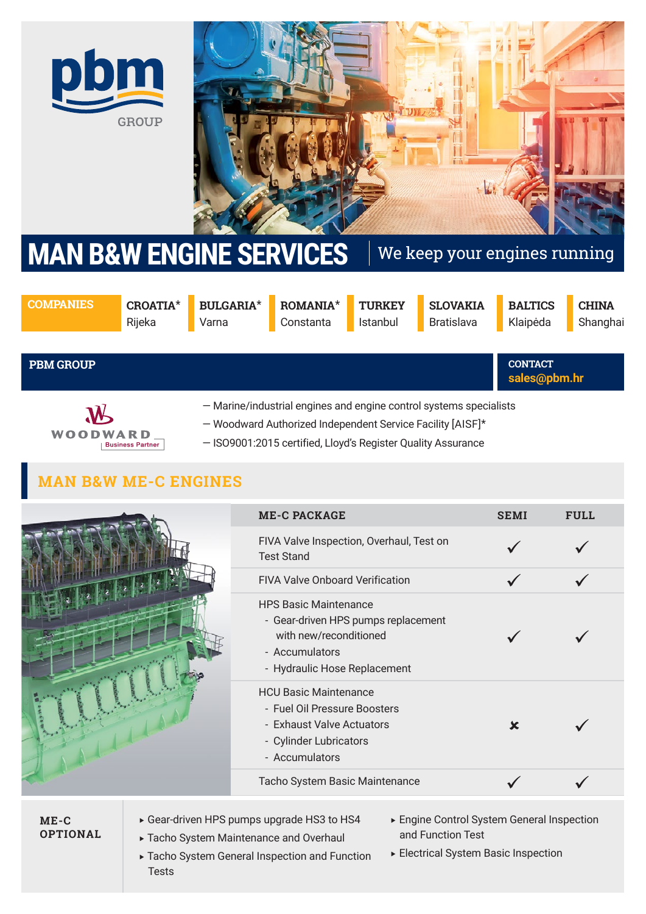



# MAN B&W ENGINE SERVICES We keep your engines running

**COMPANIES CROATIA**\*

Rijeka

**BULGARIA**\* Varna

**ROMANIA**\* Constanta

**TURKEY** Istanbul

**SLOVAKIA** Bratislava

**CHINA** Shanghai

**sales@pbm.hr CONTACT** 

**BALTICS** Klaipėda

**PBM GROUP**



— Marine/industrial engines and engine control systems specialists

- Woodward Authorized Independent Service Facility [AISF]\*
- ISO9001:2015 certified, Lloyd's Register Quality Assurance

# **MAN B&W ME-C ENGINES**

| <b>ME-C PACKAGE</b>                                                                                                                             | <b>SEMI</b> | FULL. |
|-------------------------------------------------------------------------------------------------------------------------------------------------|-------------|-------|
| FIVA Valve Inspection, Overhaul, Test on<br><b>Test Stand</b>                                                                                   |             |       |
| <b>FIVA Valve Onboard Verification</b>                                                                                                          |             |       |
| <b>HPS Basic Maintenance</b><br>- Gear-driven HPS pumps replacement<br>with new/reconditioned<br>- Accumulators<br>- Hydraulic Hose Replacement |             |       |
| <b>HCU Basic Maintenance</b><br>- Fuel Oil Pressure Boosters<br>- Exhaust Valve Actuators<br>- Cylinder Lubricators<br>- Accumulators           | ×           |       |
| Tacho System Basic Maintenance                                                                                                                  |             |       |

**ME-C OPTIONAL**

- Gear-driven HPS pumps upgrade HS3 to HS4
- Tacho System Maintenance and Overhaul
- Engine Control System General Inspection and Function Test
- Tacho System General Inspection and Function Tests
- Electrical System Basic Inspection